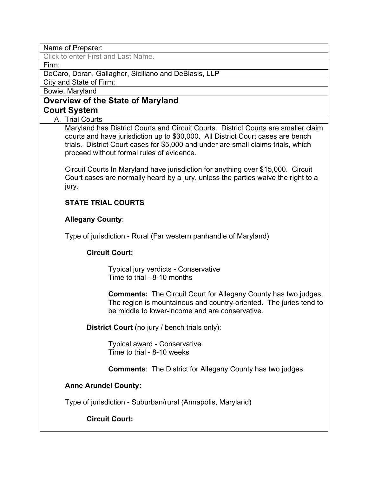Name of Preparer:

Click to enter First and Last Name.

Firm:

DeCaro, Doran, Gallagher, Siciliano and DeBlasis, LLP

City and State of Firm:

Bowie, Maryland

# **Overview of the State of Maryland Court System**

A. Trial Courts

Maryland has District Courts and Circuit Courts. District Courts are smaller claim courts and have jurisdiction up to \$30,000. All District Court cases are bench trials. District Court cases for \$5,000 and under are small claims trials, which proceed without formal rules of evidence.

Circuit Courts In Maryland have jurisdiction for anything over \$15,000. Circuit Court cases are normally heard by a jury, unless the parties waive the right to a jury.

## **STATE TRIAL COURTS**

## **Allegany County**:

Type of jurisdiction - Rural (Far western panhandle of Maryland)

## **Circuit Court:**

Typical jury verdicts - Conservative Time to trial - 8-10 months

**Comments:** The Circuit Court for Allegany County has two judges. The region is mountainous and country-oriented. The juries tend to be middle to lower-income and are conservative.

**District Court** (no jury / bench trials only):

Typical award - Conservative Time to trial - 8-10 weeks

**Comments**: The District for Allegany County has two judges.

## **Anne Arundel County:**

Type of jurisdiction - Suburban/rural (Annapolis, Maryland)

## **Circuit Court:**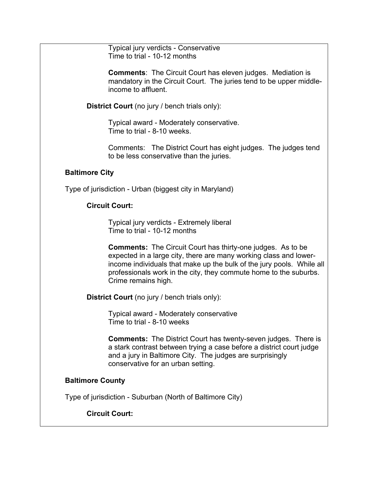Typical jury verdicts - Conservative Time to trial - 10-12 months

**Comments**: The Circuit Court has eleven judges. Mediation is mandatory in the Circuit Court. The juries tend to be upper middleincome to affluent.

**District Court** (no jury / bench trials only):

Typical award - Moderately conservative. Time to trial - 8-10 weeks.

Comments: The District Court has eight judges. The judges tend to be less conservative than the juries.

## **Baltimore City**

Type of jurisdiction - Urban (biggest city in Maryland)

## **Circuit Court:**

Typical jury verdicts - Extremely liberal Time to trial - 10-12 months

**Comments:** The Circuit Court has thirty-one judges. As to be expected in a large city, there are many working class and lowerincome individuals that make up the bulk of the jury pools. While all professionals work in the city, they commute home to the suburbs. Crime remains high.

**District Court** (no jury / bench trials only):

Typical award - Moderately conservative Time to trial - 8-10 weeks

**Comments:** The District Court has twenty-seven judges. There is a stark contrast between trying a case before a district court judge and a jury in Baltimore City. The judges are surprisingly conservative for an urban setting.

## **Baltimore County**

Type of jurisdiction - Suburban (North of Baltimore City)

## **Circuit Court:**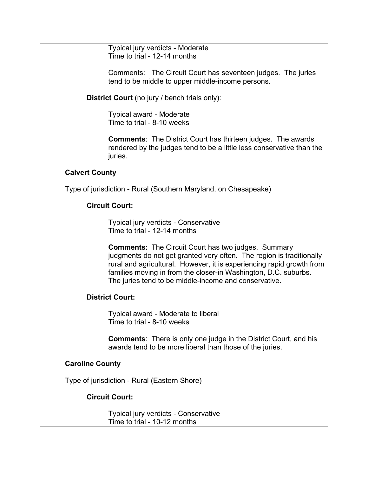Typical jury verdicts - Moderate Time to trial - 12-14 months

Comments: The Circuit Court has seventeen judges. The juries tend to be middle to upper middle-income persons.

**District Court** (no jury / bench trials only):

Typical award - Moderate Time to trial - 8-10 weeks

**Comments**: The District Court has thirteen judges. The awards rendered by the judges tend to be a little less conservative than the juries.

## **Calvert County**

Type of jurisdiction - Rural (Southern Maryland, on Chesapeake)

## **Circuit Court:**

Typical jury verdicts - Conservative Time to trial - 12-14 months

**Comments:** The Circuit Court has two judges. Summary judgments do not get granted very often. The region is traditionally rural and agricultural. However, it is experiencing rapid growth from families moving in from the closer-in Washington, D.C. suburbs. The juries tend to be middle-income and conservative.

## **District Court:**

Typical award - Moderate to liberal Time to trial - 8-10 weeks

**Comments**: There is only one judge in the District Court, and his awards tend to be more liberal than those of the juries.

## **Caroline County**

Type of jurisdiction - Rural (Eastern Shore)

## **Circuit Court:**

Typical jury verdicts - Conservative Time to trial - 10-12 months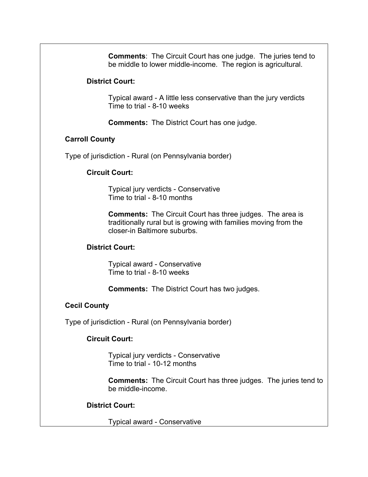**Comments**: The Circuit Court has one judge. The juries tend to be middle to lower middle-income. The region is agricultural.

### **District Court:**

Typical award - A little less conservative than the jury verdicts Time to trial - 8-10 weeks

**Comments:** The District Court has one judge.

## **Carroll County**

Type of jurisdiction - Rural (on Pennsylvania border)

## **Circuit Court:**

Typical jury verdicts - Conservative Time to trial - 8-10 months

**Comments:** The Circuit Court has three judges. The area is traditionally rural but is growing with families moving from the closer-in Baltimore suburbs.

## **District Court:**

Typical award - Conservative Time to trial - 8-10 weeks

**Comments:** The District Court has two judges.

## **Cecil County**

Type of jurisdiction - Rural (on Pennsylvania border)

## **Circuit Court:**

Typical jury verdicts - Conservative Time to trial - 10-12 months

**Comments:** The Circuit Court has three judges. The juries tend to be middle-income.

## **District Court:**

Typical award - Conservative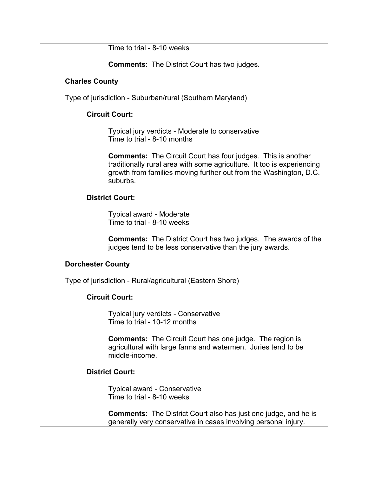Time to trial - 8-10 weeks

**Comments:** The District Court has two judges.

## **Charles County**

Type of jurisdiction - Suburban/rural (Southern Maryland)

## **Circuit Court:**

Typical jury verdicts - Moderate to conservative Time to trial - 8-10 months

**Comments:** The Circuit Court has four judges. This is another traditionally rural area with some agriculture. It too is experiencing growth from families moving further out from the Washington, D.C. suburbs.

## **District Court:**

Typical award - Moderate Time to trial - 8-10 weeks

**Comments:** The District Court has two judges. The awards of the judges tend to be less conservative than the jury awards.

## **Dorchester County**

Type of jurisdiction - Rural/agricultural (Eastern Shore)

## **Circuit Court:**

Typical jury verdicts - Conservative Time to trial - 10-12 months

**Comments:** The Circuit Court has one judge. The region is agricultural with large farms and watermen. Juries tend to be middle-income.

## **District Court:**

Typical award - Conservative Time to trial - 8-10 weeks

**Comments**: The District Court also has just one judge, and he is generally very conservative in cases involving personal injury.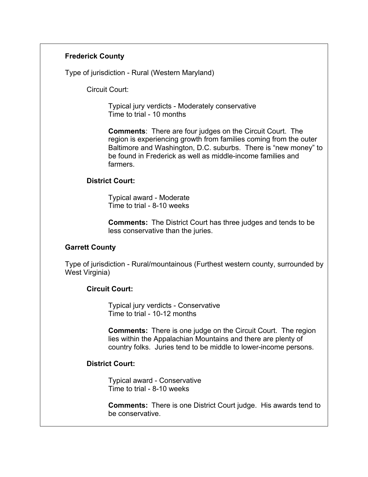## **Frederick County**

Type of jurisdiction - Rural (Western Maryland)

Circuit Court:

Typical jury verdicts - Moderately conservative Time to trial - 10 months

**Comments**: There are four judges on the Circuit Court. The region is experiencing growth from families coming from the outer Baltimore and Washington, D.C. suburbs. There is "new money" to be found in Frederick as well as middle-income families and farmers.

#### **District Court:**

Typical award - Moderate Time to trial - 8-10 weeks

**Comments:** The District Court has three judges and tends to be less conservative than the juries.

#### **Garrett County**

Type of jurisdiction - Rural/mountainous (Furthest western county, surrounded by West Virginia)

## **Circuit Court:**

Typical jury verdicts - Conservative Time to trial - 10-12 months

**Comments:** There is one judge on the Circuit Court. The region lies within the Appalachian Mountains and there are plenty of country folks. Juries tend to be middle to lower-income persons.

## **District Court:**

Typical award - Conservative Time to trial - 8-10 weeks

**Comments:** There is one District Court judge. His awards tend to be conservative.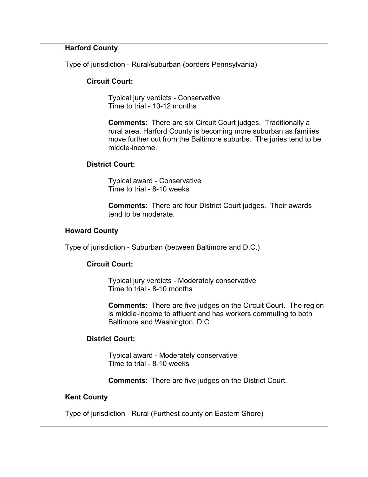## **Harford County**

Type of jurisdiction - Rural/suburban (borders Pennsylvania)

### **Circuit Court:**

Typical jury verdicts - Conservative Time to trial - 10-12 months

**Comments:** There are six Circuit Court judges. Traditionally a rural area, Harford County is becoming more suburban as families move further out from the Baltimore suburbs. The juries tend to be middle-income.

## **District Court:**

Typical award - Conservative Time to trial - 8-10 weeks

**Comments:** There are four District Court judges. Their awards tend to be moderate.

## **Howard County**

Type of jurisdiction - Suburban (between Baltimore and D.C.)

#### **Circuit Court:**

Typical jury verdicts - Moderately conservative Time to trial - 8-10 months

**Comments:** There are five judges on the Circuit Court. The region is middle-income to affluent and has workers commuting to both Baltimore and Washington, D.C.

## **District Court:**

Typical award - Moderately conservative Time to trial - 8-10 weeks

**Comments:** There are five judges on the District Court.

## **Kent County**

Type of jurisdiction - Rural (Furthest county on Eastern Shore)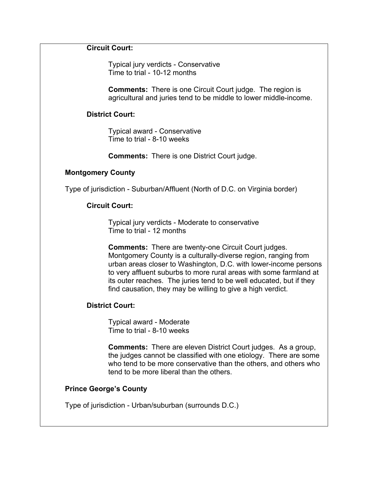## **Circuit Court:**

Typical jury verdicts - Conservative Time to trial - 10-12 months

**Comments:** There is one Circuit Court judge. The region is agricultural and juries tend to be middle to lower middle-income.

#### **District Court:**

Typical award - Conservative Time to trial - 8-10 weeks

**Comments:** There is one District Court judge.

#### **Montgomery County**

Type of jurisdiction - Suburban/Affluent (North of D.C. on Virginia border)

#### **Circuit Court:**

Typical jury verdicts - Moderate to conservative Time to trial - 12 months

**Comments:** There are twenty-one Circuit Court judges. Montgomery County is a culturally-diverse region, ranging from urban areas closer to Washington, D.C. with lower-income persons to very affluent suburbs to more rural areas with some farmland at its outer reaches. The juries tend to be well educated, but if they find causation, they may be willing to give a high verdict.

#### **District Court:**

Typical award - Moderate Time to trial - 8-10 weeks

**Comments:** There are eleven District Court judges. As a group, the judges cannot be classified with one etiology. There are some who tend to be more conservative than the others, and others who tend to be more liberal than the others.

#### **Prince George's County**

Type of jurisdiction - Urban/suburban (surrounds D.C.)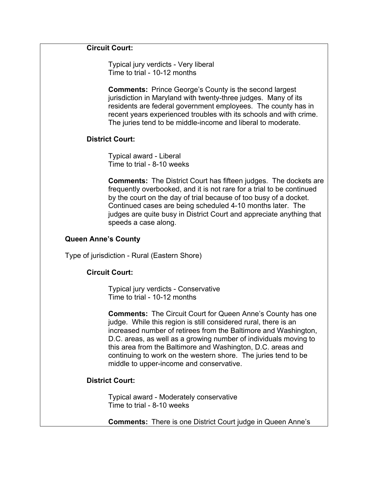## **Circuit Court:**

Typical jury verdicts - Very liberal Time to trial - 10-12 months

**Comments:** Prince George's County is the second largest jurisdiction in Maryland with twenty-three judges. Many of its residents are federal government employees. The county has in recent years experienced troubles with its schools and with crime. The juries tend to be middle-income and liberal to moderate.

#### **District Court:**

Typical award - Liberal Time to trial - 8-10 weeks

**Comments:** The District Court has fifteen judges. The dockets are frequently overbooked, and it is not rare for a trial to be continued by the court on the day of trial because of too busy of a docket. Continued cases are being scheduled 4-10 months later. The judges are quite busy in District Court and appreciate anything that speeds a case along.

### **Queen Anne's County**

Type of jurisdiction - Rural (Eastern Shore)

## **Circuit Court:**

Typical jury verdicts - Conservative Time to trial - 10-12 months

**Comments:** The Circuit Court for Queen Anne's County has one judge. While this region is still considered rural, there is an increased number of retirees from the Baltimore and Washington, D.C. areas, as well as a growing number of individuals moving to this area from the Baltimore and Washington, D.C. areas and continuing to work on the western shore. The juries tend to be middle to upper-income and conservative.

## **District Court:**

Typical award - Moderately conservative Time to trial - 8-10 weeks

**Comments:** There is one District Court judge in Queen Anne's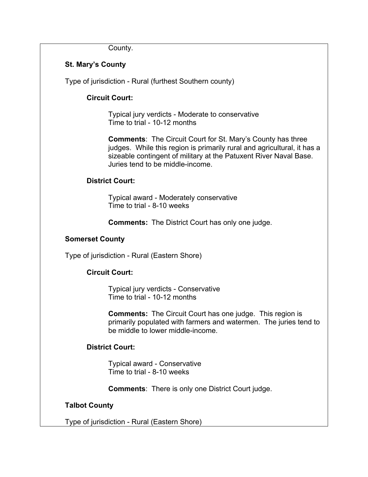County.

## **St. Mary's County**

Type of jurisdiction - Rural (furthest Southern county)

## **Circuit Court:**

Typical jury verdicts - Moderate to conservative Time to trial - 10-12 months

**Comments**: The Circuit Court for St. Mary's County has three judges. While this region is primarily rural and agricultural, it has a sizeable contingent of military at the Patuxent River Naval Base. Juries tend to be middle-income.

## **District Court:**

Typical award - Moderately conservative Time to trial - 8-10 weeks

**Comments:** The District Court has only one judge.

## **Somerset County**

Type of jurisdiction - Rural (Eastern Shore)

## **Circuit Court:**

Typical jury verdicts - Conservative Time to trial - 10-12 months

**Comments:** The Circuit Court has one judge. This region is primarily populated with farmers and watermen. The juries tend to be middle to lower middle-income.

## **District Court:**

Typical award - Conservative Time to trial - 8-10 weeks

**Comments**: There is only one District Court judge.

## **Talbot County**

Type of jurisdiction - Rural (Eastern Shore)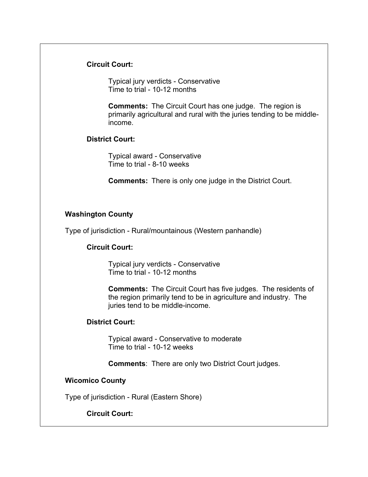#### **Circuit Court:**

Typical jury verdicts - Conservative Time to trial - 10-12 months

**Comments:** The Circuit Court has one judge. The region is primarily agricultural and rural with the juries tending to be middleincome.

### **District Court:**

Typical award - Conservative Time to trial - 8-10 weeks

**Comments:** There is only one judge in the District Court.

## **Washington County**

Type of jurisdiction - Rural/mountainous (Western panhandle)

## **Circuit Court:**

Typical jury verdicts - Conservative Time to trial - 10-12 months

**Comments:** The Circuit Court has five judges. The residents of the region primarily tend to be in agriculture and industry. The juries tend to be middle-income.

#### **District Court:**

Typical award - Conservative to moderate Time to trial - 10-12 weeks

**Comments**: There are only two District Court judges.

## **Wicomico County**

Type of jurisdiction - Rural (Eastern Shore)

## **Circuit Court:**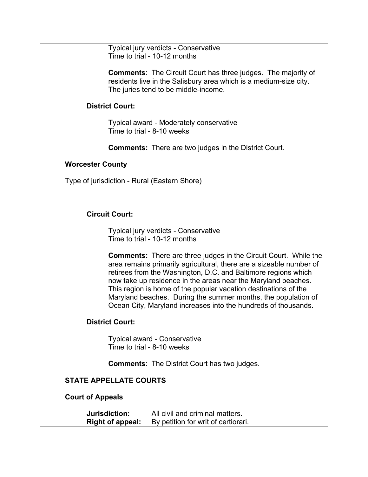Typical jury verdicts - Conservative Time to trial - 10-12 months

**Comments**: The Circuit Court has three judges. The majority of residents live in the Salisbury area which is a medium-size city. The juries tend to be middle-income.

## **District Court:**

Typical award - Moderately conservative Time to trial - 8-10 weeks

**Comments:** There are two judges in the District Court.

## **Worcester County**

Type of jurisdiction - Rural (Eastern Shore)

## **Circuit Court:**

Typical jury verdicts - Conservative Time to trial - 10-12 months

**Comments:** There are three judges in the Circuit Court. While the area remains primarily agricultural, there are a sizeable number of retirees from the Washington, D.C. and Baltimore regions which now take up residence in the areas near the Maryland beaches. This region is home of the popular vacation destinations of the Maryland beaches. During the summer months, the population of Ocean City, Maryland increases into the hundreds of thousands.

## **District Court:**

Typical award - Conservative Time to trial - 8-10 weeks

**Comments**: The District Court has two judges.

## **STATE APPELLATE COURTS**

**Court of Appeals**

**Jurisdiction:** All civil and criminal matters. **Right of appeal:** By petition for writ of certiorari.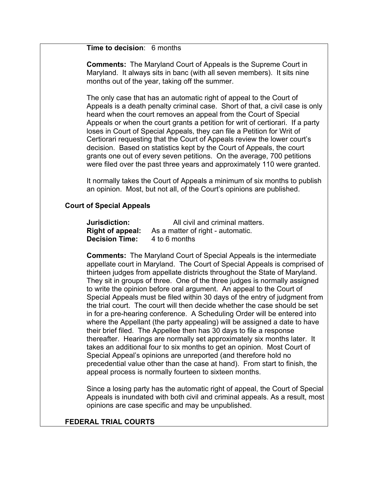**Time to decision**: 6 months

**Comments:** The Maryland Court of Appeals is the Supreme Court in Maryland. It always sits in banc (with all seven members). It sits nine months out of the year, taking off the summer.

The only case that has an automatic right of appeal to the Court of Appeals is a death penalty criminal case. Short of that, a civil case is only heard when the court removes an appeal from the Court of Special Appeals or when the court grants a petition for writ of certiorari. If a party loses in Court of Special Appeals, they can file a Petition for Writ of Certiorari requesting that the Court of Appeals review the lower court's decision. Based on statistics kept by the Court of Appeals, the court grants one out of every seven petitions. On the average, 700 petitions were filed over the past three years and approximately 110 were granted.

It normally takes the Court of Appeals a minimum of six months to publish an opinion. Most, but not all, of the Court's opinions are published.

#### **Court of Special Appeals**

| Jurisdiction:           | All civil and criminal matters.   |
|-------------------------|-----------------------------------|
| <b>Right of appeal:</b> | As a matter of right - automatic. |
| <b>Decision Time:</b>   | 4 to 6 months                     |

**Comments:** The Maryland Court of Special Appeals is the intermediate appellate court in Maryland. The Court of Special Appeals is comprised of thirteen judges from appellate districts throughout the State of Maryland. They sit in groups of three. One of the three judges is normally assigned to write the opinion before oral argument. An appeal to the Court of Special Appeals must be filed within 30 days of the entry of judgment from the trial court. The court will then decide whether the case should be set in for a pre-hearing conference. A Scheduling Order will be entered into where the Appellant (the party appealing) will be assigned a date to have their brief filed. The Appellee then has 30 days to file a response thereafter. Hearings are normally set approximately six months later. It takes an additional four to six months to get an opinion. Most Court of Special Appeal's opinions are unreported (and therefore hold no precedential value other than the case at hand). From start to finish, the appeal process is normally fourteen to sixteen months.

Since a losing party has the automatic right of appeal, the Court of Special Appeals is inundated with both civil and criminal appeals. As a result, most opinions are case specific and may be unpublished.

## **FEDERAL TRIAL COURTS**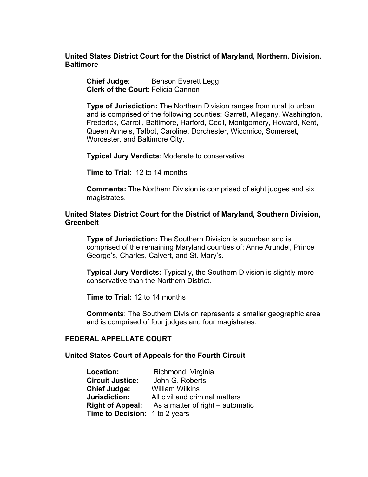**United States District Court for the District of Maryland, Northern, Division, Baltimore**

**Chief Judge:** Benson Everett Legg **Clerk of the Court:** Felicia Cannon

**Type of Jurisdiction:** The Northern Division ranges from rural to urban and is comprised of the following counties: Garrett, Allegany, Washington, Frederick, Carroll, Baltimore, Harford, Cecil, Montgomery, Howard, Kent, Queen Anne's, Talbot, Caroline, Dorchester, Wicomico, Somerset, Worcester, and Baltimore City.

**Typical Jury Verdicts**: Moderate to conservative

**Time to Trial**: 12 to 14 months

**Comments:** The Northern Division is comprised of eight judges and six magistrates.

### **United States District Court for the District of Maryland, Southern Division, Greenbelt**

**Type of Jurisdiction:** The Southern Division is suburban and is comprised of the remaining Maryland counties of: Anne Arundel, Prince George's, Charles, Calvert, and St. Mary's.

**Typical Jury Verdicts:** Typically, the Southern Division is slightly more conservative than the Northern District.

**Time to Trial:** 12 to 14 months

**Comments**: The Southern Division represents a smaller geographic area and is comprised of four judges and four magistrates.

## **FEDERAL APPELLATE COURT**

## **United States Court of Appeals for the Fourth Circuit**

**Location:** Richmond, Virginia **Circuit Justice**: John G. Roberts **Chief Judge:** William Wilkins **Jurisdiction:** All civil and criminal matters **Right of Appeal:** As a matter of right – automatic **Time to Decision**: 1 to 2 years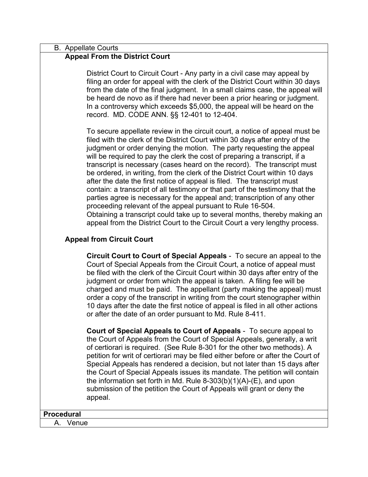| <b>B.</b> Appellate Courts                                                                                                                                                                                                                                                                                                                                                                                                                                                                                                                                                                                                                                                                                                                                                                                                                                                                                                                       |  |
|--------------------------------------------------------------------------------------------------------------------------------------------------------------------------------------------------------------------------------------------------------------------------------------------------------------------------------------------------------------------------------------------------------------------------------------------------------------------------------------------------------------------------------------------------------------------------------------------------------------------------------------------------------------------------------------------------------------------------------------------------------------------------------------------------------------------------------------------------------------------------------------------------------------------------------------------------|--|
| <b>Appeal From the District Court</b>                                                                                                                                                                                                                                                                                                                                                                                                                                                                                                                                                                                                                                                                                                                                                                                                                                                                                                            |  |
| District Court to Circuit Court - Any party in a civil case may appeal by<br>filing an order for appeal with the clerk of the District Court within 30 days<br>from the date of the final judgment. In a small claims case, the appeal will<br>be heard de novo as if there had never been a prior hearing or judgment.<br>In a controversy which exceeds \$5,000, the appeal will be heard on the<br>record. MD. CODE ANN. §§ 12-401 to 12-404.                                                                                                                                                                                                                                                                                                                                                                                                                                                                                                 |  |
| To secure appellate review in the circuit court, a notice of appeal must be<br>filed with the clerk of the District Court within 30 days after entry of the<br>judgment or order denying the motion. The party requesting the appeal<br>will be required to pay the clerk the cost of preparing a transcript, if a<br>transcript is necessary (cases heard on the record). The transcript must<br>be ordered, in writing, from the clerk of the District Court within 10 days<br>after the date the first notice of appeal is filed. The transcript must<br>contain: a transcript of all testimony or that part of the testimony that the<br>parties agree is necessary for the appeal and; transcription of any other<br>proceeding relevant of the appeal pursuant to Rule 16-504.<br>Obtaining a transcript could take up to several months, thereby making an<br>appeal from the District Court to the Circuit Court a very lengthy process. |  |
| <b>Appeal from Circuit Court</b>                                                                                                                                                                                                                                                                                                                                                                                                                                                                                                                                                                                                                                                                                                                                                                                                                                                                                                                 |  |
| Circuit Court to Court of Special Appeals - To secure an appeal to the<br>Court of Special Appeals from the Circuit Court, a notice of appeal must<br>be filed with the clerk of the Circuit Court within 30 days after entry of the<br>judgment or order from which the appeal is taken. A filing fee will be<br>charged and must be paid. The appellant (party making the appeal) must<br>order a copy of the transcript in writing from the court stenographer within<br>10 days after the date the first notice of appeal is filed in all other actions<br>or after the date of an order pursuant to Md. Rule 8-411.                                                                                                                                                                                                                                                                                                                         |  |
| Court of Special Appeals to Court of Appeals - To secure appeal to<br>the Court of Appeals from the Court of Special Appeals, generally, a writ<br>of certiorari is required. (See Rule 8-301 for the other two methods). A<br>petition for writ of certiorari may be filed either before or after the Court of<br>Special Appeals has rendered a decision, but not later than 15 days after<br>the Court of Special Appeals issues its mandate. The petition will contain<br>the information set forth in Md. Rule $8-303(b)(1)(A)-(E)$ , and upon<br>submission of the petition the Court of Appeals will grant or deny the<br>appeal.                                                                                                                                                                                                                                                                                                         |  |
| <b>Procedural</b>                                                                                                                                                                                                                                                                                                                                                                                                                                                                                                                                                                                                                                                                                                                                                                                                                                                                                                                                |  |
| Venue<br>А.                                                                                                                                                                                                                                                                                                                                                                                                                                                                                                                                                                                                                                                                                                                                                                                                                                                                                                                                      |  |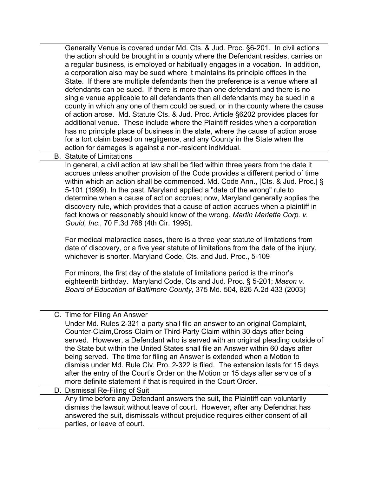| Generally Venue is covered under Md. Cts. & Jud. Proc. §6-201. In civil actions<br>the action should be brought in a county where the Defendant resides, carries on<br>a regular business, is employed or habitually engages in a vocation. In addition,<br>a corporation also may be sued where it maintains its principle offices in the<br>State. If there are multiple defendants then the preference is a venue where all<br>defendants can be sued. If there is more than one defendant and there is no<br>single venue applicable to all defendants then all defendants may be sued in a<br>county in which any one of them could be sued, or in the county where the cause<br>of action arose. Md. Statute Cts. & Jud. Proc. Article §6202 provides places for<br>additional venue. These include where the Plaintiff resides when a corporation<br>has no principle place of business in the state, where the cause of action arose<br>for a tort claim based on negligence, and any County in the State when the                                                                                                                                              |
|-------------------------------------------------------------------------------------------------------------------------------------------------------------------------------------------------------------------------------------------------------------------------------------------------------------------------------------------------------------------------------------------------------------------------------------------------------------------------------------------------------------------------------------------------------------------------------------------------------------------------------------------------------------------------------------------------------------------------------------------------------------------------------------------------------------------------------------------------------------------------------------------------------------------------------------------------------------------------------------------------------------------------------------------------------------------------------------------------------------------------------------------------------------------------|
| action for damages is against a non-resident individual.                                                                                                                                                                                                                                                                                                                                                                                                                                                                                                                                                                                                                                                                                                                                                                                                                                                                                                                                                                                                                                                                                                                |
| <b>B.</b> Statute of Limitations<br>In general, a civil action at law shall be filed within three years from the date it<br>accrues unless another provision of the Code provides a different period of time<br>within which an action shall be commenced. Md. Code Ann., [Cts. & Jud. Proc.] §<br>5-101 (1999). In the past, Maryland applied a "date of the wrong" rule to<br>determine when a cause of action accrues; now, Maryland generally applies the<br>discovery rule, which provides that a cause of action accrues when a plaintiff in<br>fact knows or reasonably should know of the wrong. Martin Marietta Corp. v.<br>Gould, Inc., 70 F.3d 768 (4th Cir. 1995).<br>For medical malpractice cases, there is a three year statute of limitations from<br>date of discovery, or a five year statute of limitations from the date of the injury,<br>whichever is shorter. Maryland Code, Cts. and Jud. Proc., 5-109<br>For minors, the first day of the statute of limitations period is the minor's<br>eighteenth birthday. Maryland Code, Cts and Jud. Proc. § 5-201; Mason v.<br>Board of Education of Baltimore County, 375 Md. 504, 826 A.2d 433 (2003) |
| C. Time for Filing An Answer                                                                                                                                                                                                                                                                                                                                                                                                                                                                                                                                                                                                                                                                                                                                                                                                                                                                                                                                                                                                                                                                                                                                            |
| Under Md. Rules 2-321 a party shall file an answer to an original Complaint,<br>Counter-Claim, Cross-Claim or Third-Party Claim within 30 days after being<br>served. However, a Defendant who is served with an original pleading outside of<br>the State but within the United States shall file an Answer within 60 days after<br>being served. The time for filing an Answer is extended when a Motion to<br>dismiss under Md. Rule Civ. Pro. 2-322 is filed. The extension lasts for 15 days<br>after the entry of the Court's Order on the Motion or 15 days after service of a<br>more definite statement if that is required in the Court Order.                                                                                                                                                                                                                                                                                                                                                                                                                                                                                                                |
| D. Dismissal Re-Filing of Suit                                                                                                                                                                                                                                                                                                                                                                                                                                                                                                                                                                                                                                                                                                                                                                                                                                                                                                                                                                                                                                                                                                                                          |
| Any time before any Defendant answers the suit, the Plaintiff can voluntarily<br>dismiss the lawsuit without leave of court. However, after any Defendnat has<br>answered the suit, dismissals without prejudice requires either consent of all<br>parties, or leave of court.                                                                                                                                                                                                                                                                                                                                                                                                                                                                                                                                                                                                                                                                                                                                                                                                                                                                                          |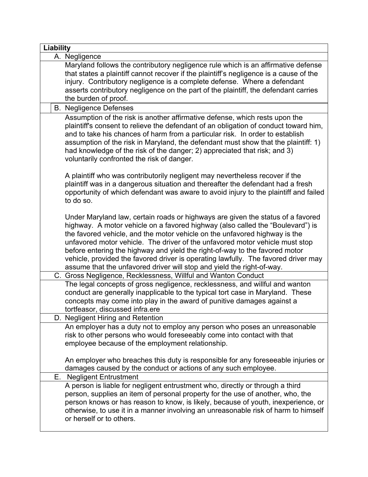| Liability                                                                                                                                                                                                                                                                                                                                                                                                                                                                                                                                                                      |  |  |
|--------------------------------------------------------------------------------------------------------------------------------------------------------------------------------------------------------------------------------------------------------------------------------------------------------------------------------------------------------------------------------------------------------------------------------------------------------------------------------------------------------------------------------------------------------------------------------|--|--|
| A. Negligence                                                                                                                                                                                                                                                                                                                                                                                                                                                                                                                                                                  |  |  |
| Maryland follows the contributory negligence rule which is an affirmative defense<br>that states a plaintiff cannot recover if the plaintiff's negligence is a cause of the<br>injury. Contributory negligence is a complete defense. Where a defendant<br>asserts contributory negligence on the part of the plaintiff, the defendant carries<br>the burden of proof.                                                                                                                                                                                                         |  |  |
| <b>B.</b> Negligence Defenses                                                                                                                                                                                                                                                                                                                                                                                                                                                                                                                                                  |  |  |
| Assumption of the risk is another affirmative defense, which rests upon the<br>plaintiff's consent to relieve the defendant of an obligation of conduct toward him,<br>and to take his chances of harm from a particular risk. In order to establish<br>assumption of the risk in Maryland, the defendant must show that the plaintiff: 1)<br>had knowledge of the risk of the danger; 2) appreciated that risk; and 3)<br>voluntarily confronted the risk of danger.                                                                                                          |  |  |
| A plaintiff who was contributorily negligent may nevertheless recover if the<br>plaintiff was in a dangerous situation and thereafter the defendant had a fresh<br>opportunity of which defendant was aware to avoid injury to the plaintiff and failed<br>to do so.                                                                                                                                                                                                                                                                                                           |  |  |
| Under Maryland law, certain roads or highways are given the status of a favored<br>highway. A motor vehicle on a favored highway (also called the "Boulevard") is<br>the favored vehicle, and the motor vehicle on the unfavored highway is the<br>unfavored motor vehicle. The driver of the unfavored motor vehicle must stop<br>before entering the highway and yield the right-of-way to the favored motor<br>vehicle, provided the favored driver is operating lawfully. The favored driver may<br>assume that the unfavored driver will stop and yield the right-of-way. |  |  |
| C. Gross Negligence, Recklessness, Willful and Wanton Conduct                                                                                                                                                                                                                                                                                                                                                                                                                                                                                                                  |  |  |
| The legal concepts of gross negligence, recklessness, and willful and wanton<br>conduct are generally inapplicable to the typical tort case in Maryland. These<br>concepts may come into play in the award of punitive damages against a<br>tortfeasor, discussed infra.ere                                                                                                                                                                                                                                                                                                    |  |  |
| D. Negligent Hiring and Retention                                                                                                                                                                                                                                                                                                                                                                                                                                                                                                                                              |  |  |
| An employer has a duty not to employ any person who poses an unreasonable<br>risk to other persons who would foreseeably come into contact with that<br>employee because of the employment relationship.                                                                                                                                                                                                                                                                                                                                                                       |  |  |
| An employer who breaches this duty is responsible for any foreseeable injuries or<br>damages caused by the conduct or actions of any such employee.                                                                                                                                                                                                                                                                                                                                                                                                                            |  |  |
| <b>Negligent Entrustment</b><br>Е.                                                                                                                                                                                                                                                                                                                                                                                                                                                                                                                                             |  |  |
| A person is liable for negligent entrustment who, directly or through a third<br>person, supplies an item of personal property for the use of another, who, the<br>person knows or has reason to know, is likely, because of youth, inexperience, or<br>otherwise, to use it in a manner involving an unreasonable risk of harm to himself<br>or herself or to others.                                                                                                                                                                                                         |  |  |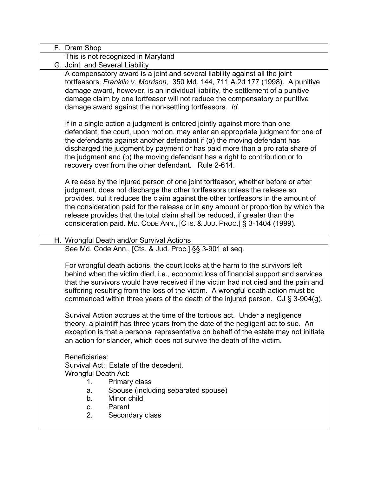| F. Dram Shop                                                                                                                                                                                                                                                                                                                                                                                                                                                                                      |  |
|---------------------------------------------------------------------------------------------------------------------------------------------------------------------------------------------------------------------------------------------------------------------------------------------------------------------------------------------------------------------------------------------------------------------------------------------------------------------------------------------------|--|
| This is not recognized in Maryland                                                                                                                                                                                                                                                                                                                                                                                                                                                                |  |
| G. Joint and Several Liability                                                                                                                                                                                                                                                                                                                                                                                                                                                                    |  |
| A compensatory award is a joint and several liability against all the joint<br>tortfeasors. Franklin v. Morrison, 350 Md. 144, 711 A.2d 177 (1998). A punitive<br>damage award, however, is an individual liability, the settlement of a punitive<br>damage claim by one tortfeasor will not reduce the compensatory or punitive<br>damage award against the non-settling tortfeasors. Id.                                                                                                        |  |
| If in a single action a judgment is entered jointly against more than one<br>defendant, the court, upon motion, may enter an appropriate judgment for one of<br>the defendants against another defendant if (a) the moving defendant has<br>discharged the judgment by payment or has paid more than a pro rata share of<br>the judgment and (b) the moving defendant has a right to contribution or to<br>recovery over from the other defendant. Rule 2-614.                                    |  |
| A release by the injured person of one joint tortfeasor, whether before or after<br>judgment, does not discharge the other tortfeasors unless the release so<br>provides, but it reduces the claim against the other tortfeasors in the amount of<br>the consideration paid for the release or in any amount or proportion by which the<br>release provides that the total claim shall be reduced, if greater than the<br>consideration paid. MD. CODE ANN., [CTS. & JUD. PROC.] § 3-1404 (1999). |  |
| H. Wrongful Death and/or Survival Actions                                                                                                                                                                                                                                                                                                                                                                                                                                                         |  |
| See Md. Code Ann., [Cts. & Jud. Proc.] §§ 3-901 et seq.                                                                                                                                                                                                                                                                                                                                                                                                                                           |  |
|                                                                                                                                                                                                                                                                                                                                                                                                                                                                                                   |  |
| For wrongful death actions, the court looks at the harm to the survivors left<br>behind when the victim died, i.e., economic loss of financial support and services<br>that the survivors would have received if the victim had not died and the pain and<br>suffering resulting from the loss of the victim. A wrongful death action must be<br>commenced within three years of the death of the injured person. $CJ \S 3-904(g)$ .                                                              |  |
| Survival Action accrues at the time of the tortious act. Under a negligence<br>theory, a plaintiff has three years from the date of the negligent act to sue. An<br>exception is that a personal representative on behalf of the estate may not initiate<br>an action for slander, which does not survive the death of the victim.                                                                                                                                                                |  |
| Beneficiaries:<br>Survival Act: Estate of the decedent.                                                                                                                                                                                                                                                                                                                                                                                                                                           |  |
| <b>Wrongful Death Act:</b>                                                                                                                                                                                                                                                                                                                                                                                                                                                                        |  |
| Primary class<br>1.                                                                                                                                                                                                                                                                                                                                                                                                                                                                               |  |
| Spouse (including separated spouse)<br>a.                                                                                                                                                                                                                                                                                                                                                                                                                                                         |  |
| Minor child<br>b.                                                                                                                                                                                                                                                                                                                                                                                                                                                                                 |  |
| Parent<br>C.                                                                                                                                                                                                                                                                                                                                                                                                                                                                                      |  |
| 2.<br>Secondary class                                                                                                                                                                                                                                                                                                                                                                                                                                                                             |  |
|                                                                                                                                                                                                                                                                                                                                                                                                                                                                                                   |  |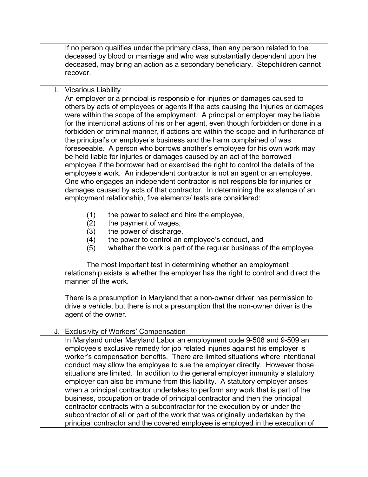| If no person qualifies under the primary class, then any person related to the<br>deceased by blood or marriage and who was substantially dependent upon the<br>deceased, may bring an action as a secondary beneficiary. Stepchildren cannot<br>recover.                                                                                                                                                                                                                                                                                                                                                                                                                                                                                                                                                                                                                                                                                                                                                                                                                                        |
|--------------------------------------------------------------------------------------------------------------------------------------------------------------------------------------------------------------------------------------------------------------------------------------------------------------------------------------------------------------------------------------------------------------------------------------------------------------------------------------------------------------------------------------------------------------------------------------------------------------------------------------------------------------------------------------------------------------------------------------------------------------------------------------------------------------------------------------------------------------------------------------------------------------------------------------------------------------------------------------------------------------------------------------------------------------------------------------------------|
| I. Vicarious Liability<br>An employer or a principal is responsible for injuries or damages caused to<br>others by acts of employees or agents if the acts causing the injuries or damages<br>were within the scope of the employment. A principal or employer may be liable<br>for the intentional actions of his or her agent, even though forbidden or done in a<br>forbidden or criminal manner, if actions are within the scope and in furtherance of<br>the principal's or employer's business and the harm complained of was<br>foreseeable. A person who borrows another's employee for his own work may<br>be held liable for injuries or damages caused by an act of the borrowed<br>employee if the borrower had or exercised the right to control the details of the<br>employee's work. An independent contractor is not an agent or an employee.<br>One who engages an independent contractor is not responsible for injuries or<br>damages caused by acts of that contractor. In determining the existence of an<br>employment relationship, five elements/ tests are considered: |
| (1)<br>the power to select and hire the employee,<br>the payment of wages,<br>(2)<br>the power of discharge,<br>(3)<br>the power to control an employee's conduct, and<br>(4)<br>whether the work is part of the regular business of the employee.<br>(5)<br>The most important test in determining whether an employment<br>relationship exists is whether the employer has the right to control and direct the<br>manner of the work.<br>There is a presumption in Maryland that a non-owner driver has permission to<br>drive a vehicle, but there is not a presumption that the non-owner driver is the<br>agent of the owner.                                                                                                                                                                                                                                                                                                                                                                                                                                                               |
| J. Exclusivity of Workers' Compensation<br>In Maryland under Maryland Labor an employment code 9-508 and 9-509 an<br>employee's exclusive remedy for job related injuries against his employer is<br>worker's compensation benefits. There are limited situations where intentional<br>conduct may allow the employee to sue the employer directly. However those<br>situations are limited. In addition to the general employer immunity a statutory<br>employer can also be immune from this liability. A statutory employer arises<br>when a principal contractor undertakes to perform any work that is part of the<br>business, occupation or trade of principal contractor and then the principal                                                                                                                                                                                                                                                                                                                                                                                          |
| contractor contracts with a subcontractor for the execution by or under the<br>subcontractor of all or part of the work that was originally undertaken by the<br>principal contractor and the covered employee is employed in the execution of                                                                                                                                                                                                                                                                                                                                                                                                                                                                                                                                                                                                                                                                                                                                                                                                                                                   |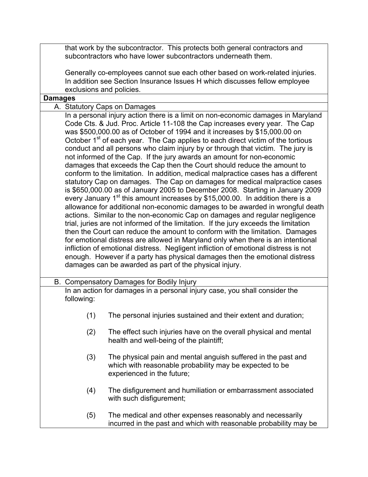| that work by the subcontractor. This protects both general contractors and |
|----------------------------------------------------------------------------|
| subcontractors who have lower subcontractors underneath them.              |

Generally co-employees cannot sue each other based on work-related injuries. In addition see Section Insurance Issues H which discusses fellow employee exclusions and policies.

| <b>Damages</b> |            |                                                                                             |
|----------------|------------|---------------------------------------------------------------------------------------------|
|                |            | A. Statutory Caps on Damages                                                                |
|                |            | In a personal injury action there is a limit on non-economic damages in Maryland            |
|                |            | Code Cts. & Jud. Proc. Article 11-108 the Cap increases every year. The Cap                 |
|                |            | was \$500,000.00 as of October of 1994 and it increases by \$15,000.00 on                   |
|                |            | October 1 <sup>st</sup> of each year. The Cap applies to each direct victim of the tortious |
|                |            | conduct and all persons who claim injury by or through that victim. The jury is             |
|                |            | not informed of the Cap. If the jury awards an amount for non-economic                      |
|                |            | damages that exceeds the Cap then the Court should reduce the amount to                     |
|                |            | conform to the limitation. In addition, medical malpractice cases has a different           |
|                |            | statutory Cap on damages. The Cap on damages for medical malpractice cases                  |
|                |            | is \$650,000.00 as of January 2005 to December 2008. Starting in January 2009               |
|                |            | every January 1 <sup>st</sup> this amount increases by \$15,000.00. In addition there is a  |
|                |            | allowance for additional non-economic damages to be awarded in wrongful death               |
|                |            | actions. Similar to the non-economic Cap on damages and regular negligence                  |
|                |            |                                                                                             |
|                |            | trial, juries are not informed of the limitation. If the jury exceeds the limitation        |
|                |            | then the Court can reduce the amount to conform with the limitation. Damages                |
|                |            | for emotional distress are allowed in Maryland only when there is an intentional            |
|                |            | infliction of emotional distress. Negligent infliction of emotional distress is not         |
|                |            | enough. However if a party has physical damages then the emotional distress                 |
|                |            | damages can be awarded as part of the physical injury.                                      |
|                |            |                                                                                             |
|                |            | B. Compensatory Damages for Bodily Injury                                                   |
|                |            | In an action for damages in a personal injury case, you shall consider the                  |
|                | following: |                                                                                             |
|                |            |                                                                                             |
|                | (1)        | The personal injuries sustained and their extent and duration;                              |
|                |            |                                                                                             |
|                | (2)        | The effect such injuries have on the overall physical and mental                            |
|                |            | health and well-being of the plaintiff;                                                     |
|                |            |                                                                                             |
|                | (3)        | The physical pain and mental anguish suffered in the past and                               |
|                |            | which with reasonable probability may be expected to be                                     |
|                |            | experienced in the future;                                                                  |
|                |            |                                                                                             |
|                | (4)        | The disfigurement and humiliation or embarrassment associated                               |
|                |            | with such disfigurement;                                                                    |
|                |            |                                                                                             |
|                | (5)        | The medical and other expenses reasonably and necessarily                                   |
|                |            | incurred in the past and which with reasonable probability may be                           |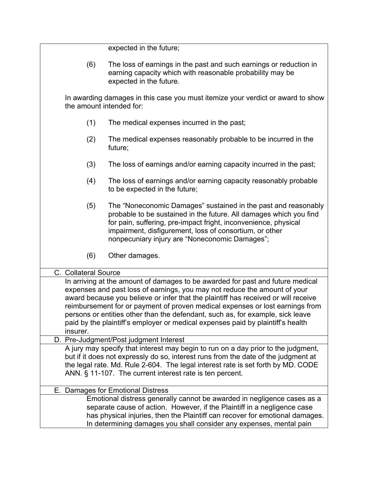|                      | expected in the future;                                                                                                                                                                                                                                                                                                                                                                                                                                                                                 |
|----------------------|---------------------------------------------------------------------------------------------------------------------------------------------------------------------------------------------------------------------------------------------------------------------------------------------------------------------------------------------------------------------------------------------------------------------------------------------------------------------------------------------------------|
| (6)                  | The loss of earnings in the past and such earnings or reduction in<br>earning capacity which with reasonable probability may be<br>expected in the future.                                                                                                                                                                                                                                                                                                                                              |
|                      | In awarding damages in this case you must itemize your verdict or award to show<br>the amount intended for:                                                                                                                                                                                                                                                                                                                                                                                             |
| (1)                  | The medical expenses incurred in the past;                                                                                                                                                                                                                                                                                                                                                                                                                                                              |
| (2)                  | The medical expenses reasonably probable to be incurred in the<br>future;                                                                                                                                                                                                                                                                                                                                                                                                                               |
| (3)                  | The loss of earnings and/or earning capacity incurred in the past;                                                                                                                                                                                                                                                                                                                                                                                                                                      |
| (4)                  | The loss of earnings and/or earning capacity reasonably probable<br>to be expected in the future;                                                                                                                                                                                                                                                                                                                                                                                                       |
| (5)                  | The "Noneconomic Damages" sustained in the past and reasonably<br>probable to be sustained in the future. All damages which you find<br>for pain, suffering, pre-impact fright, inconvenience, physical<br>impairment, disfigurement, loss of consortium, or other<br>nonpecuniary injury are "Noneconomic Damages";                                                                                                                                                                                    |
| (6)                  | Other damages.                                                                                                                                                                                                                                                                                                                                                                                                                                                                                          |
| C. Collateral Source |                                                                                                                                                                                                                                                                                                                                                                                                                                                                                                         |
| insurer.             | In arriving at the amount of damages to be awarded for past and future medical<br>expenses and past loss of earnings, you may not reduce the amount of your<br>award because you believe or infer that the plaintiff has received or will receive<br>reimbursement for or payment of proven medical expenses or lost earnings from<br>persons or entities other than the defendant, such as, for example, sick leave<br>paid by the plaintiff's employer or medical expenses paid by plaintiff's health |
|                      | D. Pre-Judgment/Post judgment Interest                                                                                                                                                                                                                                                                                                                                                                                                                                                                  |
|                      | A jury may specify that interest may begin to run on a day prior to the judgment,<br>but if it does not expressly do so, interest runs from the date of the judgment at<br>the legal rate. Md. Rule 2-604. The legal interest rate is set forth by MD. CODE<br>ANN. § 11-107. The current interest rate is ten percent.                                                                                                                                                                                 |
|                      | E. Damages for Emotional Distress                                                                                                                                                                                                                                                                                                                                                                                                                                                                       |
|                      | Emotional distress generally cannot be awarded in negligence cases as a                                                                                                                                                                                                                                                                                                                                                                                                                                 |
|                      | separate cause of action. However, if the Plaintiff in a negligence case                                                                                                                                                                                                                                                                                                                                                                                                                                |
|                      | has physical injuries, then the Plaintiff can recover for emotional damages.<br>In determining damages you shall consider any expenses, mental pain                                                                                                                                                                                                                                                                                                                                                     |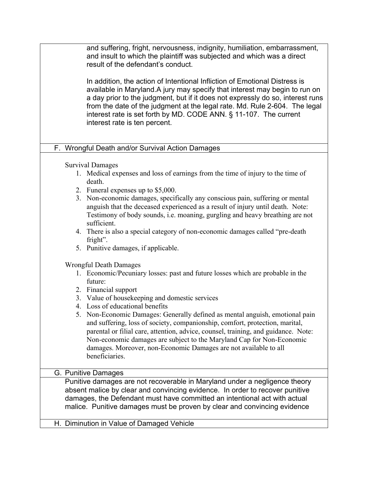and suffering, fright, nervousness, indignity, humiliation, embarrassment, and insult to which the plaintiff was subjected and which was a direct result of the defendant's conduct.

In addition, the action of Intentional Infliction of Emotional Distress is available in Maryland.A jury may specify that interest may begin to run on a day prior to the judgment, but if it does not expressly do so, interest runs from the date of the judgment at the legal rate. Md. Rule 2-604. The legal interest rate is set forth by MD. CODE ANN. § 11-107. The current interest rate is ten percent.

## F. Wrongful Death and/or Survival Action Damages

Survival Damages

- 1. Medical expenses and loss of earnings from the time of injury to the time of death.
- 2. Funeral expenses up to \$5,000.
- 3. Non-economic damages, specifically any conscious pain, suffering or mental anguish that the deceased experienced as a result of injury until death. Note: Testimony of body sounds, i.e. moaning, gurgling and heavy breathing are not sufficient.
- 4. There is also a special category of non-economic damages called "pre-death fright".
- 5. Punitive damages, if applicable.

Wrongful Death Damages

- 1. Economic/Pecuniary losses: past and future losses which are probable in the future:
- 2. Financial support
- 3. Value of housekeeping and domestic services
- 4. Loss of educational benefits
- 5. Non-Economic Damages: Generally defined as mental anguish, emotional pain and suffering, loss of society, companionship, comfort, protection, marital, parental or filial care, attention, advice, counsel, training, and guidance. Note: Non-economic damages are subject to the Maryland Cap for Non-Economic damages. Moreover, non-Economic Damages are not available to all beneficiaries.

## G. Punitive Damages

Punitive damages are not recoverable in Maryland under a negligence theory absent malice by clear and convincing evidence. In order to recover punitive damages, the Defendant must have committed an intentional act with actual malice. Punitive damages must be proven by clear and convincing evidence

H. Diminution in Value of Damaged Vehicle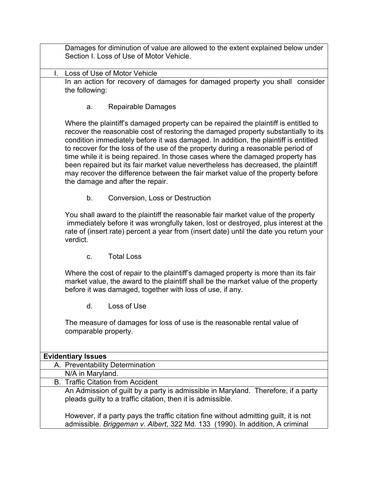Damages for diminution of value are allowed to the extent explained below under Section I. Loss of Use of Motor Vehicle.

- Loss of Use of Motor Vehicle In an action for recovery of damages for damaged property you shall consider the following:
	- a. Repairable Damages

Where the plaintiff's damaged property can be repaired the plaintiff is entitled to recover the reasonable cost of restoring the damaged property substantially to its condition immediately before it was damaged. In addition, the plaintiff is entitled to recover for the loss of the use of the property during a reasonable period of time while it is being repaired. In those cases where the damaged property has been repaired but its fair market value nevertheless has decreased, the plaintiff may recover the difference between the fair market value of the property before the damage and after the repair.

b. Conversion, Loss or Destruction

You shall award to the plaintiff the reasonable fair market value of the property immediately before it was wrongfully taken, lost or destroyed, plus interest at the rate of (insert rate) percent a year from (insert date) until the date you return your verdict.

c. Total Loss

Where the cost of repair to the plaintiff's damaged property is more than its fair market value, the award to the plaintiff shall be the market value of the property before it was damaged, together with loss of use, if any.

d. Loss of Use

The measure of damages for loss of use is the reasonable rental value of comparable property.

## **Evidentiary Issues**

| A. Preventability Determination |  |
|---------------------------------|--|
|                                 |  |

N/A in Maryland.

B. Traffic Citation from Accident

An Admission of guilt by a party is admissible in Maryland. Therefore, if a party pleads guilty to a traffic citation, then it is admissible.

However, if a party pays the traffic citation fine without admitting guilt, it is not admissible. *Briggeman v. Albert*, 322 Md. 133 (1990). In addition, A criminal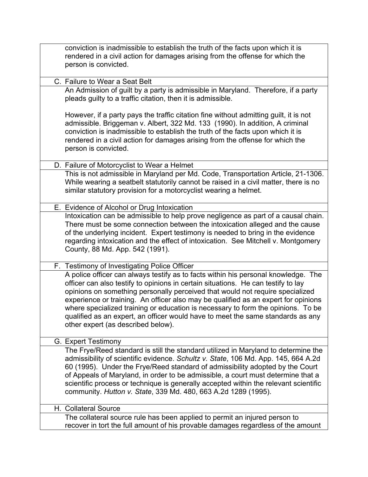| conviction is inadmissible to establish the truth of the facts upon which it is                                                                                                                                                                                                                                                                                                                                                                                                                                                                             |  |
|-------------------------------------------------------------------------------------------------------------------------------------------------------------------------------------------------------------------------------------------------------------------------------------------------------------------------------------------------------------------------------------------------------------------------------------------------------------------------------------------------------------------------------------------------------------|--|
| rendered in a civil action for damages arising from the offense for which the                                                                                                                                                                                                                                                                                                                                                                                                                                                                               |  |
| person is convicted.                                                                                                                                                                                                                                                                                                                                                                                                                                                                                                                                        |  |
|                                                                                                                                                                                                                                                                                                                                                                                                                                                                                                                                                             |  |
| C. Failure to Wear a Seat Belt                                                                                                                                                                                                                                                                                                                                                                                                                                                                                                                              |  |
| An Admission of guilt by a party is admissible in Maryland. Therefore, if a party<br>pleads guilty to a traffic citation, then it is admissible.                                                                                                                                                                                                                                                                                                                                                                                                            |  |
| However, if a party pays the traffic citation fine without admitting guilt, it is not<br>admissible. Briggeman v. Albert, 322 Md. 133 (1990). In addition, A criminal<br>conviction is inadmissible to establish the truth of the facts upon which it is<br>rendered in a civil action for damages arising from the offense for which the<br>person is convicted.                                                                                                                                                                                           |  |
| D. Failure of Motorcyclist to Wear a Helmet                                                                                                                                                                                                                                                                                                                                                                                                                                                                                                                 |  |
| This is not admissible in Maryland per Md. Code, Transportation Article, 21-1306.<br>While wearing a seatbelt statutorily cannot be raised in a civil matter, there is no<br>similar statutory provision for a motorcyclist wearing a helmet.                                                                                                                                                                                                                                                                                                               |  |
| E. Evidence of Alcohol or Drug Intoxication                                                                                                                                                                                                                                                                                                                                                                                                                                                                                                                 |  |
| Intoxication can be admissible to help prove negligence as part of a causal chain.<br>There must be some connection between the intoxication alleged and the cause<br>of the underlying incident. Expert testimony is needed to bring in the evidence<br>regarding intoxication and the effect of intoxication. See Mitchell v. Montgomery<br>County, 88 Md. App. 542 (1991).                                                                                                                                                                               |  |
| F. Testimony of Investigating Police Officer                                                                                                                                                                                                                                                                                                                                                                                                                                                                                                                |  |
| A police officer can always testify as to facts within his personal knowledge. The<br>officer can also testify to opinions in certain situations. He can testify to lay<br>opinions on something personally perceived that would not require specialized<br>experience or training. An officer also may be qualified as an expert for opinions<br>where specialized training or education is necessary to form the opinions. To be<br>qualified as an expert, an officer would have to meet the same standards as any<br>other expert (as described below). |  |
| G. Expert Testimony                                                                                                                                                                                                                                                                                                                                                                                                                                                                                                                                         |  |
| The Frye/Reed standard is still the standard utilized in Maryland to determine the<br>admissibility of scientific evidence. Schultz v. State, 106 Md. App. 145, 664 A.2d<br>60 (1995). Under the Frye/Reed standard of admissibility adopted by the Court<br>of Appeals of Maryland, in order to be admissible, a court must determine that a<br>scientific process or technique is generally accepted within the relevant scientific<br>community. Hutton v. State, 339 Md. 480, 663 A.2d 1289 (1995).                                                     |  |
| H. Collateral Source                                                                                                                                                                                                                                                                                                                                                                                                                                                                                                                                        |  |
| The collateral source rule has been applied to permit an injured person to<br>recover in tort the full amount of his provable damages regardless of the amount                                                                                                                                                                                                                                                                                                                                                                                              |  |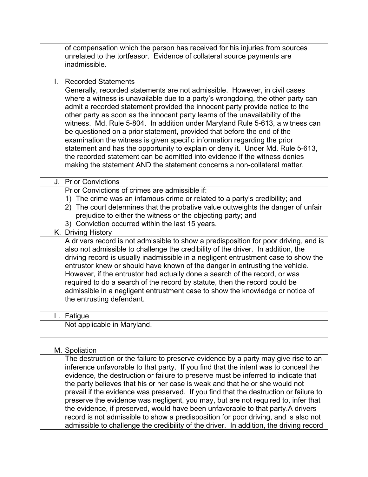| of compensation which the person has received for his injuries from sources<br>unrelated to the tortfeasor. Evidence of collateral source payments are<br>inadmissible.                                                                                                                                                                                                                                                                                                                                                                                                                                                                                                                                                                                                                                             |
|---------------------------------------------------------------------------------------------------------------------------------------------------------------------------------------------------------------------------------------------------------------------------------------------------------------------------------------------------------------------------------------------------------------------------------------------------------------------------------------------------------------------------------------------------------------------------------------------------------------------------------------------------------------------------------------------------------------------------------------------------------------------------------------------------------------------|
| <b>Recorded Statements</b><br>L.                                                                                                                                                                                                                                                                                                                                                                                                                                                                                                                                                                                                                                                                                                                                                                                    |
| Generally, recorded statements are not admissible. However, in civil cases<br>where a witness is unavailable due to a party's wrongdoing, the other party can<br>admit a recorded statement provided the innocent party provide notice to the<br>other party as soon as the innocent party learns of the unavailability of the<br>witness. Md. Rule 5-804. In addition under Maryland Rule 5-613, a witness can<br>be questioned on a prior statement, provided that before the end of the<br>examination the witness is given specific information regarding the prior<br>statement and has the opportunity to explain or deny it. Under Md. Rule 5-613,<br>the recorded statement can be admitted into evidence if the witness denies<br>making the statement AND the statement concerns a non-collateral matter. |
| J. Prior Convictions                                                                                                                                                                                                                                                                                                                                                                                                                                                                                                                                                                                                                                                                                                                                                                                                |
| Prior Convictions of crimes are admissible if:<br>1) The crime was an infamous crime or related to a party's credibility; and<br>2) The court determines that the probative value outweights the danger of unfair<br>prejudice to either the witness or the objecting party; and<br>3) Conviction occurred within the last 15 years.                                                                                                                                                                                                                                                                                                                                                                                                                                                                                |
| K. Driving History                                                                                                                                                                                                                                                                                                                                                                                                                                                                                                                                                                                                                                                                                                                                                                                                  |
| A drivers record is not admissible to show a predisposition for poor driving, and is<br>also not admissible to challenge the credibility of the driver. In addition, the<br>driving record is usually inadmissible in a negligent entrustment case to show the<br>entrustor knew or should have known of the danger in entrusting the vehicle.<br>However, if the entrustor had actually done a search of the record, or was<br>required to do a search of the record by statute, then the record could be<br>admissible in a negligent entrustment case to show the knowledge or notice of<br>the entrusting defendant.                                                                                                                                                                                            |
| L. Fatigue                                                                                                                                                                                                                                                                                                                                                                                                                                                                                                                                                                                                                                                                                                                                                                                                          |
| Not applicable in Maryland.                                                                                                                                                                                                                                                                                                                                                                                                                                                                                                                                                                                                                                                                                                                                                                                         |

| M. Spoliation                                                                          |  |
|----------------------------------------------------------------------------------------|--|
| The destruction or the failure to preserve evidence by a party may give rise to an     |  |
| inference unfavorable to that party. If you find that the intent was to conceal the    |  |
| evidence, the destruction or failure to preserve must be inferred to indicate that     |  |
| the party believes that his or her case is weak and that he or she would not           |  |
| prevail if the evidence was preserved. If you find that the destruction or failure to  |  |
| preserve the evidence was negligent, you may, but are not required to, infer that      |  |
| the evidence, if preserved, would have been unfavorable to that party. A drivers       |  |
| record is not admissible to show a predisposition for poor driving, and is also not    |  |
| admissible to challenge the credibility of the driver. In addition, the driving record |  |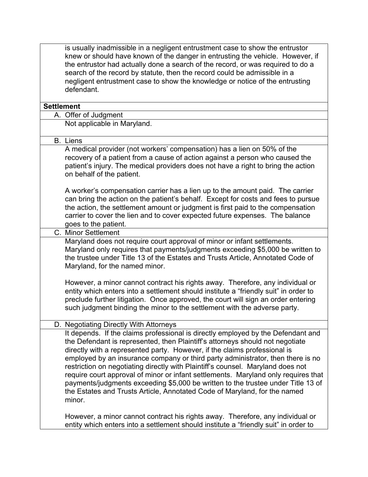| is usually inadmissible in a negligent entrustment case to show the entrustor<br>knew or should have known of the danger in entrusting the vehicle. However, if<br>the entrustor had actually done a search of the record, or was required to do a<br>search of the record by statute, then the record could be admissible in a<br>negligent entrustment case to show the knowledge or notice of the entrusting<br>defendant.                                                                                                                                                                                                                                                         |
|---------------------------------------------------------------------------------------------------------------------------------------------------------------------------------------------------------------------------------------------------------------------------------------------------------------------------------------------------------------------------------------------------------------------------------------------------------------------------------------------------------------------------------------------------------------------------------------------------------------------------------------------------------------------------------------|
| <b>Settlement</b>                                                                                                                                                                                                                                                                                                                                                                                                                                                                                                                                                                                                                                                                     |
| A. Offer of Judgment                                                                                                                                                                                                                                                                                                                                                                                                                                                                                                                                                                                                                                                                  |
| Not applicable in Maryland.                                                                                                                                                                                                                                                                                                                                                                                                                                                                                                                                                                                                                                                           |
| <b>B.</b> Liens                                                                                                                                                                                                                                                                                                                                                                                                                                                                                                                                                                                                                                                                       |
| A medical provider (not workers' compensation) has a lien on 50% of the<br>recovery of a patient from a cause of action against a person who caused the<br>patient's injury. The medical providers does not have a right to bring the action<br>on behalf of the patient.                                                                                                                                                                                                                                                                                                                                                                                                             |
| A worker's compensation carrier has a lien up to the amount paid. The carrier<br>can bring the action on the patient's behalf. Except for costs and fees to pursue<br>the action, the settlement amount or judgment is first paid to the compensation<br>carrier to cover the lien and to cover expected future expenses. The balance<br>goes to the patient.                                                                                                                                                                                                                                                                                                                         |
| C. Minor Settlement                                                                                                                                                                                                                                                                                                                                                                                                                                                                                                                                                                                                                                                                   |
| Maryland does not require court approval of minor or infant settlements.<br>Maryland only requires that payments/judgments exceeding \$5,000 be written to<br>the trustee under Title 13 of the Estates and Trusts Article, Annotated Code of<br>Maryland, for the named minor.                                                                                                                                                                                                                                                                                                                                                                                                       |
| However, a minor cannot contract his rights away. Therefore, any individual or<br>entity which enters into a settlement should institute a "friendly suit" in order to<br>preclude further litigation. Once approved, the court will sign an order entering<br>such judgment binding the minor to the settlement with the adverse party.                                                                                                                                                                                                                                                                                                                                              |
| D. Negotiating Directly With Attorneys                                                                                                                                                                                                                                                                                                                                                                                                                                                                                                                                                                                                                                                |
| It depends. If the claims professional is directly employed by the Defendant and<br>the Defendant is represented, then Plaintiff's attorneys should not negotiate<br>directly with a represented party. However, if the claims professional is<br>employed by an insurance company or third party administrator, then there is no<br>restriction on negotiating directly with Plaintiff's counsel. Maryland does not<br>require court approval of minor or infant settlements. Maryland only requires that<br>payments/judgments exceeding \$5,000 be written to the trustee under Title 13 of<br>the Estates and Trusts Article, Annotated Code of Maryland, for the named<br>minor. |
| However, a minor cannot contract his rights away. Therefore, any individual or<br>entity which enters into a settlement should institute a "friendly suit" in order to                                                                                                                                                                                                                                                                                                                                                                                                                                                                                                                |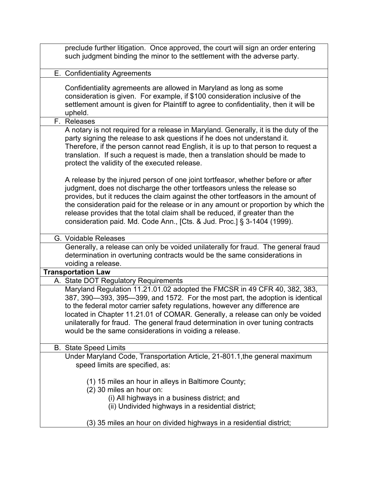| preclude further litigation. Once approved, the court will sign an order entering<br>such judgment binding the minor to the settlement with the adverse party.                                                                                                                                                                                                                                                                                                                                    |
|---------------------------------------------------------------------------------------------------------------------------------------------------------------------------------------------------------------------------------------------------------------------------------------------------------------------------------------------------------------------------------------------------------------------------------------------------------------------------------------------------|
| E. Confidentiality Agreements                                                                                                                                                                                                                                                                                                                                                                                                                                                                     |
| Confidentiality agremeents are allowed in Maryland as long as some<br>consideration is given. For example, if \$100 consideration inclusive of the<br>settlement amount is given for Plaintiff to agree to confidentiality, then it will be<br>upheld.                                                                                                                                                                                                                                            |
| F. Releases                                                                                                                                                                                                                                                                                                                                                                                                                                                                                       |
| A notary is not required for a release in Maryland. Generally, it is the duty of the<br>party signing the release to ask questions if he does not understand it.<br>Therefore, if the person cannot read English, it is up to that person to request a<br>translation. If such a request is made, then a translation should be made to<br>protect the validity of the executed release.                                                                                                           |
| A release by the injured person of one joint tortfeasor, whether before or after<br>judgment, does not discharge the other tortfeasors unless the release so<br>provides, but it reduces the claim against the other tortfeasors in the amount of<br>the consideration paid for the release or in any amount or proportion by which the<br>release provides that the total claim shall be reduced, if greater than the<br>consideration paid. Md. Code Ann., [Cts. & Jud. Proc.] § 3-1404 (1999). |
| G. Voidable Releases                                                                                                                                                                                                                                                                                                                                                                                                                                                                              |
| Generally, a release can only be voided unilaterally for fraud. The general fraud<br>determination in overtuning contracts would be the same considerations in<br>voiding a release.                                                                                                                                                                                                                                                                                                              |
| <b>Transportation Law</b>                                                                                                                                                                                                                                                                                                                                                                                                                                                                         |
| A. State DOT Regulatory Requirements                                                                                                                                                                                                                                                                                                                                                                                                                                                              |
| Maryland Regulation 11.21.01.02 adopted the FMCSR in 49 CFR 40, 382, 383,<br>387, 390-393, 395-399, and 1572. For the most part, the adoption is identical<br>to the federal motor carrier safety regulations, however any difference are<br>located in Chapter 11.21.01 of COMAR. Generally, a release can only be voided<br>unilaterally for fraud. The general fraud determination in over tuning contracts<br>would be the same considerations in voiding a release.                          |
| <b>B.</b> State Speed Limits                                                                                                                                                                                                                                                                                                                                                                                                                                                                      |
| Under Maryland Code, Transportation Article, 21-801.1, the general maximum<br>speed limits are specified, as:                                                                                                                                                                                                                                                                                                                                                                                     |
| (1) 15 miles an hour in alleys in Baltimore County;<br>(2) 30 miles an hour on:                                                                                                                                                                                                                                                                                                                                                                                                                   |
| (i) All highways in a business district; and<br>(ii) Undivided highways in a residential district;                                                                                                                                                                                                                                                                                                                                                                                                |
| (3) 35 miles an hour on divided highways in a residential district;                                                                                                                                                                                                                                                                                                                                                                                                                               |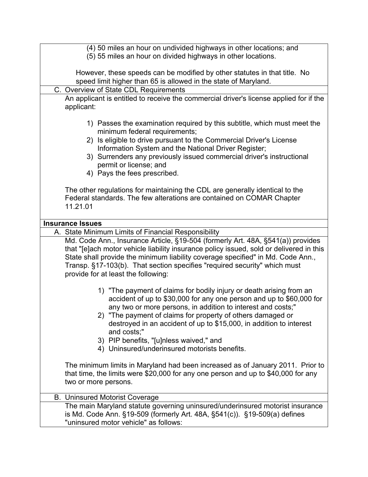| (4) 50 miles an hour on undivided highways in other locations; and                                                                                                                                                                                                                                                                                                                                                                                            |
|---------------------------------------------------------------------------------------------------------------------------------------------------------------------------------------------------------------------------------------------------------------------------------------------------------------------------------------------------------------------------------------------------------------------------------------------------------------|
| (5) 55 miles an hour on divided highways in other locations.                                                                                                                                                                                                                                                                                                                                                                                                  |
| However, these speeds can be modified by other statutes in that title. No                                                                                                                                                                                                                                                                                                                                                                                     |
| speed limit higher than 65 is allowed in the state of Maryland.                                                                                                                                                                                                                                                                                                                                                                                               |
| C. Overview of State CDL Requirements                                                                                                                                                                                                                                                                                                                                                                                                                         |
| An applicant is entitled to receive the commercial driver's license applied for if the<br>applicant:                                                                                                                                                                                                                                                                                                                                                          |
| 1) Passes the examination required by this subtitle, which must meet the<br>minimum federal requirements;<br>2) Is eligible to drive pursuant to the Commercial Driver's License<br>Information System and the National Driver Register;<br>3) Surrenders any previously issued commercial driver's instructional<br>permit or license; and<br>4) Pays the fees prescribed.                                                                                   |
| The other regulations for maintaining the CDL are generally identical to the<br>Federal standards. The few alterations are contained on COMAR Chapter<br>11.21.01                                                                                                                                                                                                                                                                                             |
| <b>Insurance Issues</b>                                                                                                                                                                                                                                                                                                                                                                                                                                       |
| A. State Minimum Limits of Financial Responsibility                                                                                                                                                                                                                                                                                                                                                                                                           |
| Md. Code Ann., Insurance Article, §19-504 (formerly Art. 48A, §541(a)) provides<br>that "[e]ach motor vehicle liability insurance policy issued, sold or delivered in this<br>State shall provide the minimum liability coverage specified" in Md. Code Ann.,<br>Transp. §17-103(b). That section specifies "required security" which must<br>provide for at least the following:                                                                             |
| 1) "The payment of claims for bodily injury or death arising from an<br>accident of up to \$30,000 for any one person and up to \$60,000 for<br>any two or more persons, in addition to interest and costs;"<br>2) "The payment of claims for property of others damaged or<br>destroyed in an accident of up to \$15,000, in addition to interest<br>and costs;"<br>3) PIP benefits, "[u]nless waived," and<br>4) Uninsured/underinsured motorists benefits. |
| The minimum limits in Maryland had been increased as of January 2011. Prior to<br>that time, the limits were \$20,000 for any one person and up to \$40,000 for any<br>two or more persons.                                                                                                                                                                                                                                                                   |
| <b>B. Uninsured Motorist Coverage</b>                                                                                                                                                                                                                                                                                                                                                                                                                         |
| The main Maryland statute governing uninsured/underinsured motorist insurance<br>is Md. Code Ann. §19-509 (formerly Art. 48A, §541(c)). §19-509(a) defines<br>"uninsured motor vehicle" as follows:                                                                                                                                                                                                                                                           |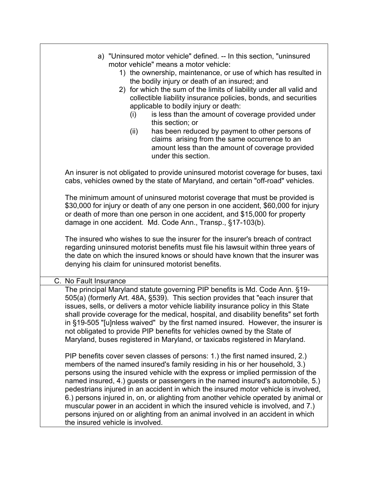| a) "Uninsured motor vehicle" defined. -- In this section, "uninsured<br>motor vehicle" means a motor vehicle:<br>1) the ownership, maintenance, or use of which has resulted in<br>the bodily injury or death of an insured; and<br>2) for which the sum of the limits of liability under all valid and<br>collectible liability insurance policies, bonds, and securities<br>applicable to bodily injury or death:<br>is less than the amount of coverage provided under<br>(i)<br>this section; or<br>has been reduced by payment to other persons of<br>(ii)<br>claims arising from the same occurrence to an<br>amount less than the amount of coverage provided<br>under this section.                              |
|--------------------------------------------------------------------------------------------------------------------------------------------------------------------------------------------------------------------------------------------------------------------------------------------------------------------------------------------------------------------------------------------------------------------------------------------------------------------------------------------------------------------------------------------------------------------------------------------------------------------------------------------------------------------------------------------------------------------------|
| An insurer is not obligated to provide uninsured motorist coverage for buses, taxi<br>cabs, vehicles owned by the state of Maryland, and certain "off-road" vehicles.                                                                                                                                                                                                                                                                                                                                                                                                                                                                                                                                                    |
| The minimum amount of uninsured motorist coverage that must be provided is<br>\$30,000 for injury or death of any one person in one accident, \$60,000 for injury<br>or death of more than one person in one accident, and \$15,000 for property<br>damage in one accident. Md. Code Ann., Transp., §17-103(b).                                                                                                                                                                                                                                                                                                                                                                                                          |
| The insured who wishes to sue the insurer for the insurer's breach of contract<br>regarding uninsured motorist benefits must file his lawsuit within three years of<br>the date on which the insured knows or should have known that the insurer was<br>denying his claim for uninsured motorist benefits.                                                                                                                                                                                                                                                                                                                                                                                                               |
| C. No Fault Insurance                                                                                                                                                                                                                                                                                                                                                                                                                                                                                                                                                                                                                                                                                                    |
| The principal Maryland statute governing PIP benefits is Md. Code Ann. §19-<br>505(a) (formerly Art. 48A, §539). This section provides that "each insurer that<br>issues, sells, or delivers a motor vehicle liability insurance policy in this State<br>shall provide coverage for the medical, hospital, and disability benefits" set forth<br>in §19-505 "[u]nless waived" by the first named insured. However, the insurer is<br>not obligated to provide PIP benefits for vehicles owned by the State of<br>Maryland, buses registered in Maryland, or taxicabs registered in Maryland.                                                                                                                             |
| PIP benefits cover seven classes of persons: 1.) the first named insured, 2.)<br>members of the named insured's family residing in his or her household, 3.)<br>persons using the insured vehicle with the express or implied permission of the<br>named insured, 4.) guests or passengers in the named insured's automobile, 5.)<br>pedestrians injured in an accident in which the insured motor vehicle is involved,<br>6.) persons injured in, on, or alighting from another vehicle operated by animal or<br>muscular power in an accident in which the insured vehicle is involved, and 7.)<br>persons injured on or alighting from an animal involved in an accident in which<br>the insured vehicle is involved. |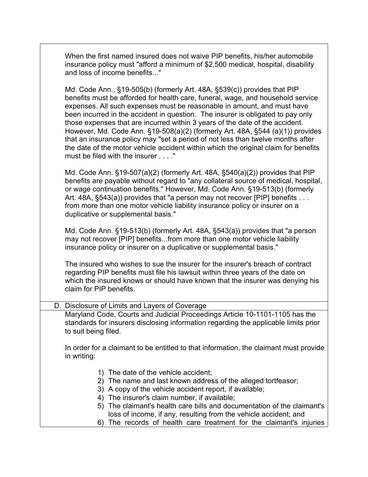When the first named insured does not waive PIP benefits, his/her automobile insurance policy must "afford a minimum of \$2,500 medical, hospital, disability and loss of income benefits..."

Md. Code Ann., §19-505(b) (formerly Art. 48A, §539(c)) provides that PIP benefits must be afforded for health care, funeral, wage, and household service expenses. All such expenses must be reasonable in amount, and must have been incurred in the accident in question. The insurer is obligated to pay only those expenses that are incurred within 3 years of the date of the accident. However, Md. Code Ann. §19-508(a)(2) (formerly Art. 48A, §544 (a)(1)) provides that an insurance policy may "set a period of not less than twelve months after the date of the motor vehicle accident within which the original claim for benefits must be filed with the insurer . . . ."

Md. Code Ann. §19-507(a)(2) (formerly Art. 48A, §540(a)(2)) provides that PIP benefits are payable without regard to "any collateral source of medical, hospital, or wage continuation benefits." However, Md. Code Ann. §19-513(b) (formerly Art. 48A, §543(a)) provides that "a person may not recover [PIP] benefits . . . from more than one motor vehicle liability insurance policy or insurer on a duplicative or supplemental basis."

Md. Code Ann. §19-513(b) (formerly Art. 48A, §543(a)) provides that "a person may not recover [PIP] benefits...from more than one motor vehicle liability insurance policy or insurer on a duplicative or supplemental basis."

The insured who wishes to sue the insurer for the insurer's breach of contract regarding PIP benefits must file his lawsuit within three years of the date on which the insured knows or should have known that the insurer was denying his claim for PIP benefits.

#### D. Disclosure of Limits and Layers of Coverage

Maryland Code, Courts and Judicial Proceedings Article 10-1101-1105 has the standards for insurers disclosing information regarding the applicable limits prior to suit being filed.

In order for a claimant to be entitled to that information, the claimant must provide in writing:

- 1) The date of the vehicle accident;
- 2) The name and last known address of the alleged tortfeasor;
- 3) A copy of the vehicle accident report, if available;
- 4) The insurer's claim number, if available;
- 5) The claimant's health care bills and documentation of the claimant's loss of income, if any, resulting from the vehicle accident; and
- 6) The records of health care treatment for the claimant's injuries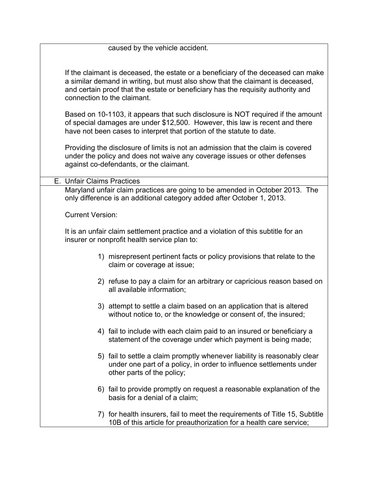| caused by the vehicle accident.                                                                                                                                                                                                                                                        |
|----------------------------------------------------------------------------------------------------------------------------------------------------------------------------------------------------------------------------------------------------------------------------------------|
| If the claimant is deceased, the estate or a beneficiary of the deceased can make<br>a similar demand in writing, but must also show that the claimant is deceased,<br>and certain proof that the estate or beneficiary has the requisity authority and<br>connection to the claimant. |
| Based on 10-1103, it appears that such disclosure is NOT required if the amount<br>of special damages are under \$12,500. However, this law is recent and there<br>have not been cases to interpret that portion of the statute to date.                                               |
| Providing the disclosure of limits is not an admission that the claim is covered<br>under the policy and does not waive any coverage issues or other defenses<br>against co-defendants, or the claimant.                                                                               |
| E. Unfair Claims Practices                                                                                                                                                                                                                                                             |
| Maryland unfair claim practices are going to be amended in October 2013. The<br>only difference is an additional category added after October 1, 2013.                                                                                                                                 |
| <b>Current Version:</b>                                                                                                                                                                                                                                                                |
| It is an unfair claim settlement practice and a violation of this subtitle for an<br>insurer or nonprofit health service plan to:                                                                                                                                                      |
| 1) misrepresent pertinent facts or policy provisions that relate to the<br>claim or coverage at issue;                                                                                                                                                                                 |
| 2) refuse to pay a claim for an arbitrary or capricious reason based on<br>all available information;                                                                                                                                                                                  |
| 3) attempt to settle a claim based on an application that is altered<br>without notice to, or the knowledge or consent of, the insured;                                                                                                                                                |
| 4) fail to include with each claim paid to an insured or beneficiary a<br>statement of the coverage under which payment is being made;                                                                                                                                                 |
| 5) fail to settle a claim promptly whenever liability is reasonably clear<br>under one part of a policy, in order to influence settlements under<br>other parts of the policy;                                                                                                         |
| 6) fail to provide promptly on request a reasonable explanation of the<br>basis for a denial of a claim;                                                                                                                                                                               |
| 7) for health insurers, fail to meet the requirements of Title 15, Subtitle<br>10B of this article for preauthorization for a health care service;                                                                                                                                     |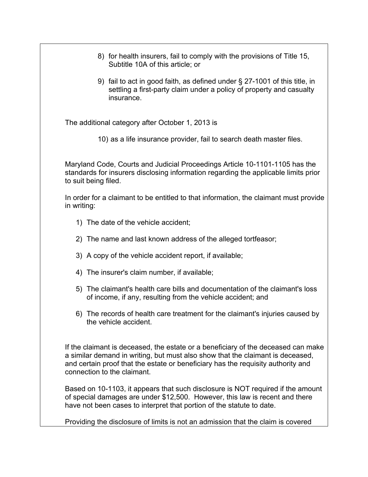- 8) for health insurers, fail to comply with the provisions of Title 15, Subtitle 10A of this article; or
- 9) fail to act in good faith, as defined under § 27-1001 of this title, in settling a first-party claim under a policy of property and casualty insurance.

The additional category after October 1, 2013 is

10) as a life insurance provider, fail to search death master files.

Maryland Code, Courts and Judicial Proceedings Article 10-1101-1105 has the standards for insurers disclosing information regarding the applicable limits prior to suit being filed.

In order for a claimant to be entitled to that information, the claimant must provide in writing:

- 1) The date of the vehicle accident;
- 2) The name and last known address of the alleged tortfeasor;
- 3) A copy of the vehicle accident report, if available;
- 4) The insurer's claim number, if available;
- 5) The claimant's health care bills and documentation of the claimant's loss of income, if any, resulting from the vehicle accident; and
- 6) The records of health care treatment for the claimant's injuries caused by the vehicle accident.

If the claimant is deceased, the estate or a beneficiary of the deceased can make a similar demand in writing, but must also show that the claimant is deceased, and certain proof that the estate or beneficiary has the requisity authority and connection to the claimant.

Based on 10-1103, it appears that such disclosure is NOT required if the amount of special damages are under \$12,500. However, this law is recent and there have not been cases to interpret that portion of the statute to date.

Providing the disclosure of limits is not an admission that the claim is covered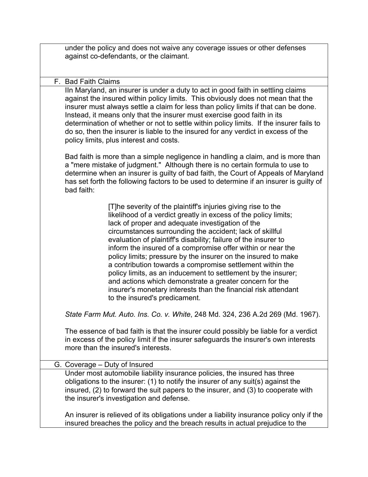under the policy and does not waive any coverage issues or other defenses against co-defendants, or the claimant.

## F. Bad Faith Claims

IIn Maryland, an insurer is under a duty to act in good faith in settling claims against the insured within policy limits. This obviously does not mean that the insurer must always settle a claim for less than policy limits if that can be done. Instead, it means only that the insurer must exercise good faith in its determination of whether or not to settle within policy limits. If the insurer fails to do so, then the insurer is liable to the insured for any verdict in excess of the policy limits, plus interest and costs.

Bad faith is more than a simple negligence in handling a claim, and is more than a "mere mistake of judgment." Although there is no certain formula to use to determine when an insurer is guilty of bad faith, the Court of Appeals of Maryland has set forth the following factors to be used to determine if an insurer is guilty of bad faith:

> [T]he severity of the plaintiff's injuries giving rise to the likelihood of a verdict greatly in excess of the policy limits; lack of proper and adequate investigation of the circumstances surrounding the accident; lack of skillful evaluation of plaintiff's disability; failure of the insurer to inform the insured of a compromise offer within or near the policy limits; pressure by the insurer on the insured to make a contribution towards a compromise settlement within the policy limits, as an inducement to settlement by the insurer; and actions which demonstrate a greater concern for the insurer's monetary interests than the financial risk attendant to the insured's predicament.

*State Farm Mut. Auto. Ins. Co. v. White*, 248 Md. 324, 236 A.2d 269 (Md. 1967).

The essence of bad faith is that the insurer could possibly be liable for a verdict in excess of the policy limit if the insurer safeguards the insurer's own interests more than the insured's interests.

G. Coverage – Duty of Insured

Under most automobile liability insurance policies, the insured has three obligations to the insurer: (1) to notify the insurer of any suit(s) against the insured, (2) to forward the suit papers to the insurer, and (3) to cooperate with the insurer's investigation and defense.

An insurer is relieved of its obligations under a liability insurance policy only if the insured breaches the policy and the breach results in actual prejudice to the